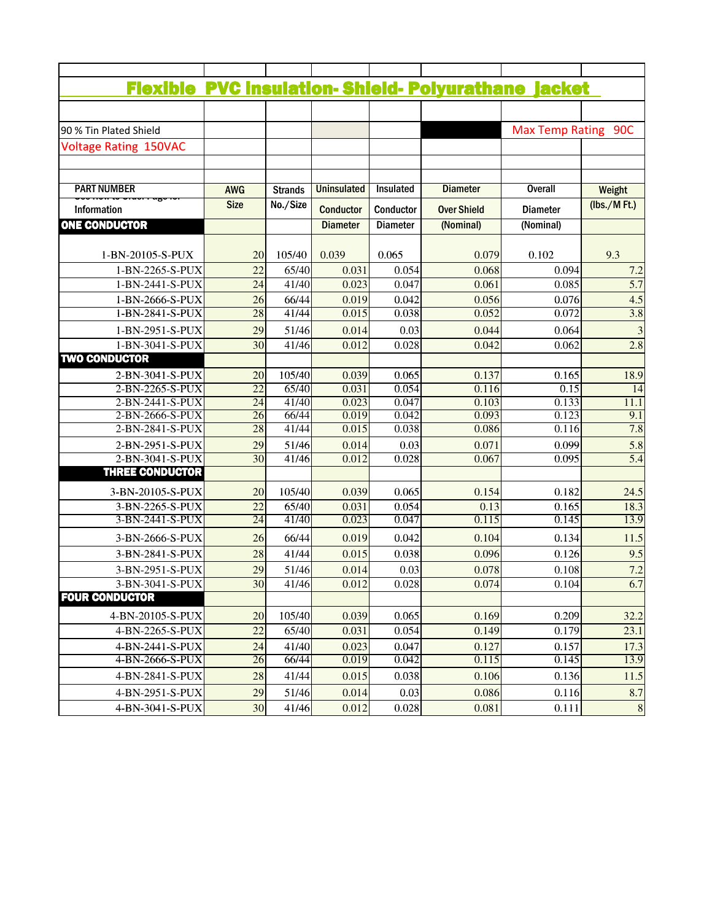| <b>Flexible PVC insulation- Shield- Polyurathane jacket</b> |             |                 |                    |                 |                    |                     |  |  |  |  |  |
|-------------------------------------------------------------|-------------|-----------------|--------------------|-----------------|--------------------|---------------------|--|--|--|--|--|
|                                                             |             |                 |                    |                 |                    |                     |  |  |  |  |  |
| 90 % Tin Plated Shield                                      |             |                 |                    |                 |                    | Max Temp Rating 90C |  |  |  |  |  |
| <b>Voltage Rating 150VAC</b>                                |             |                 |                    |                 |                    |                     |  |  |  |  |  |
|                                                             |             |                 |                    |                 |                    |                     |  |  |  |  |  |
|                                                             |             |                 |                    |                 |                    |                     |  |  |  |  |  |
| <b>PART NUMBER</b>                                          | <b>AWG</b>  | <b>Strands</b>  | <b>Uninsulated</b> | Insulated       | <b>Diameter</b>    | <b>Overall</b>      |  |  |  |  |  |
| Information                                                 | <b>Size</b> | No./Size        | <b>Conductor</b>   | Conductor       | <b>Over Shield</b> | <b>Diameter</b>     |  |  |  |  |  |
| <b>ONE CONDUCTOR</b>                                        |             |                 | <b>Diameter</b>    | <b>Diameter</b> | (Nominal)          | (Nominal)           |  |  |  |  |  |
|                                                             |             |                 |                    |                 |                    |                     |  |  |  |  |  |
| 1-BN-20105-S-PUX                                            | 20          | 105/40          | 0.039              | 0.065           | 0.079              | 0.102               |  |  |  |  |  |
| 1-BN-2265-S-PUX                                             | 22          | 65/40<br>41/40  | 0.031              | 0.054<br>0.047  | 0.068              | 0.094               |  |  |  |  |  |
| 1-BN-2441-S-PUX                                             | 24          |                 | 0.023              |                 | 0.061              | 0.085               |  |  |  |  |  |
| 1-BN-2666-S-PUX<br>1-BN-2841-S-PUX                          | 26<br>28    | 66/44<br>41/44  | 0.019<br>0.015     | 0.042<br>0.038  | 0.056<br>0.052     | 0.076<br>0.072      |  |  |  |  |  |
|                                                             |             |                 |                    |                 |                    |                     |  |  |  |  |  |
| 1-BN-2951-S-PUX                                             | 29          | 51/46           | 0.014<br>0.012     | 0.03            | 0.044<br>0.042     | 0.064               |  |  |  |  |  |
| 1-BN-3041-S-PUX<br><b>TWO CONDUCTOR</b>                     | 30          | 41/46           |                    | 0.028           |                    | 0.062               |  |  |  |  |  |
|                                                             |             |                 |                    |                 |                    |                     |  |  |  |  |  |
| 2-BN-3041-S-PUX<br>2-BN-2265-S-PUX                          | 20<br>22    | 105/40<br>65/40 | 0.039<br>0.031     | 0.065<br>0.054  | 0.137<br>0.116     | 0.165<br>0.15       |  |  |  |  |  |
| 2-BN-2441-S-PUX                                             | 24          | 41/40           | 0.023              | 0.047           | 0.103              | 0.133               |  |  |  |  |  |
| 2-BN-2666-S-PUX                                             | 26          | 66/44           | 0.019              | 0.042           | 0.093              | 0.123               |  |  |  |  |  |
| 2-BN-2841-S-PUX                                             | 28          | 41/44           | 0.015              | 0.038           | 0.086              | 0.116               |  |  |  |  |  |
| 2-BN-2951-S-PUX                                             | 29          | 51/46           | 0.014              | 0.03            | 0.071              | 0.099               |  |  |  |  |  |
| 2-BN-3041-S-PUX                                             | 30          | 41/46           | 0.012              | 0.028           | 0.067              | 0.095               |  |  |  |  |  |
| <b>THREE CONDUCTOR</b>                                      |             |                 |                    |                 |                    |                     |  |  |  |  |  |
| 3-BN-20105-S-PUX                                            | 20          | 105/40          | 0.039              | 0.065           | 0.154              | 0.182               |  |  |  |  |  |
| 3-BN-2265-S-PUX                                             | 22          | 65/40           | 0.031              | 0.054           | 0.13               | 0.165               |  |  |  |  |  |
| 3-BN-2441-S-PUX                                             | 24          | 41/40           | 0.023              | 0.047           | 0.115              | 0.145               |  |  |  |  |  |
| 3-BN-2666-S-PUX                                             | 26          | 66/44           | 0.019              | 0.042           | 0.104              | 0.134               |  |  |  |  |  |
| 3-BN-2841-S-PUX                                             | 28          | 41/44           | 0.015              | 0.038           | 0.096              | 0.126               |  |  |  |  |  |
| 3-BN-2951-S-PUX                                             | 29          | 51/46           | 0.014              | 0.03            | 0.078              | 0.108               |  |  |  |  |  |
| 3-BN-3041-S-PUX                                             | 30          | 41/46           | 0.012              | 0.028           | 0.074              | 0.104               |  |  |  |  |  |
| <b>FOUR CONDUCTOR</b>                                       |             |                 |                    |                 |                    |                     |  |  |  |  |  |
| 4-BN-20105-S-PUX                                            | 20          | 105/40          | 0.039              | 0.065           | 0.169              | 0.209               |  |  |  |  |  |
| 4-BN-2265-S-PUX                                             | 22          | 65/40           | 0.031              | 0.054           | 0.149              | 0.179               |  |  |  |  |  |
| 4-BN-2441-S-PUX                                             | 24          | 41/40           | 0.023              | 0.047           | 0.127              | 0.157               |  |  |  |  |  |
| 4-BN-2666-S-PUX                                             | 26          | 66/44           | 0.019              | 0.042           | 0.115              | 0.145               |  |  |  |  |  |
| 4-BN-2841-S-PUX                                             | 28          | 41/44           | 0.015              | 0.038           | 0.106              | 0.136               |  |  |  |  |  |
| 4-BN-2951-S-PUX                                             | 29          | 51/46           | 0.014              | 0.03            | 0.086              | 0.116               |  |  |  |  |  |
| 4-BN-3041-S-PUX                                             | 30          | 41/46           | 0.012              | 0.028           | 0.081              | 0.111               |  |  |  |  |  |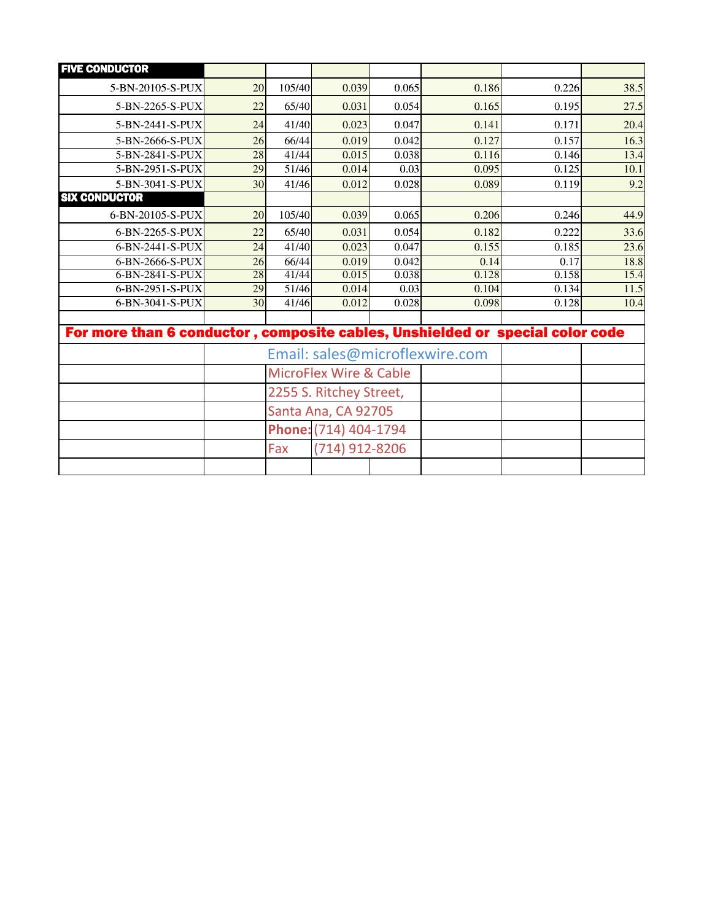| <b>FIVE CONDUCTOR</b>                                                         |    |        |                                   |       |       |       |      |  |  |
|-------------------------------------------------------------------------------|----|--------|-----------------------------------|-------|-------|-------|------|--|--|
|                                                                               |    |        |                                   |       |       |       |      |  |  |
| 5-BN-20105-S-PUX                                                              | 20 | 105/40 | 0.039                             | 0.065 | 0.186 | 0.226 | 38.5 |  |  |
| 5-BN-2265-S-PUX                                                               | 22 | 65/40  | 0.031                             | 0.054 | 0.165 | 0.195 | 27.5 |  |  |
| 5-BN-2441-S-PUX                                                               | 24 | 41/40  | 0.023                             | 0.047 | 0.141 | 0.171 | 20.4 |  |  |
| 5-BN-2666-S-PUX                                                               | 26 | 66/44  | 0.019                             | 0.042 | 0.127 | 0.157 | 16.3 |  |  |
| 5-BN-2841-S-PUX                                                               | 28 | 41/44  | 0.015                             | 0.038 | 0.116 | 0.146 | 13.4 |  |  |
| 5-BN-2951-S-PUX                                                               | 29 | 51/46  | 0.014                             | 0.03  | 0.095 | 0.125 | 10.1 |  |  |
| 5-BN-3041-S-PUX                                                               | 30 | 41/46  | 0.012                             | 0.028 | 0.089 | 0.119 | 9.2  |  |  |
| <b>SIX CONDUCTOR</b>                                                          |    |        |                                   |       |       |       |      |  |  |
| 6-BN-20105-S-PUX                                                              | 20 | 105/40 | 0.039                             | 0.065 | 0.206 | 0.246 | 44.9 |  |  |
| 6-BN-2265-S-PUX                                                               | 22 | 65/40  | 0.031                             | 0.054 | 0.182 | 0.222 | 33.6 |  |  |
| 6-BN-2441-S-PUX                                                               | 24 | 41/40  | 0.023                             | 0.047 | 0.155 | 0.185 | 23.6 |  |  |
| 6-BN-2666-S-PUX                                                               | 26 | 66/44  | 0.019                             | 0.042 | 0.14  | 0.17  | 18.8 |  |  |
| 6-BN-2841-S-PUX                                                               | 28 | 41/44  | 0.015                             | 0.038 | 0.128 | 0.158 | 15.4 |  |  |
| 6-BN-2951-S-PUX                                                               | 29 | 51/46  | 0.014                             | 0.03  | 0.104 | 0.134 | 11.5 |  |  |
| 6-BN-3041-S-PUX                                                               | 30 | 41/46  | 0.012                             | 0.028 | 0.098 | 0.128 | 10.4 |  |  |
|                                                                               |    |        |                                   |       |       |       |      |  |  |
| For more than 6 conductor, composite cables, Unshielded or special color code |    |        |                                   |       |       |       |      |  |  |
| Email: sales@microflexwire.com                                                |    |        |                                   |       |       |       |      |  |  |
|                                                                               |    |        | <b>MicroFlex Wire &amp; Cable</b> |       |       |       |      |  |  |
|                                                                               |    |        | 2255 S. Ritchey Street,           |       |       |       |      |  |  |
|                                                                               |    |        | Santa Ana, CA 92705               |       |       |       |      |  |  |
|                                                                               |    |        | Phone: (714) 404-1794             |       |       |       |      |  |  |
|                                                                               |    |        | (714) 912-8206                    |       |       |       |      |  |  |
|                                                                               |    | Fax    |                                   |       |       |       |      |  |  |
|                                                                               |    |        |                                   |       |       |       |      |  |  |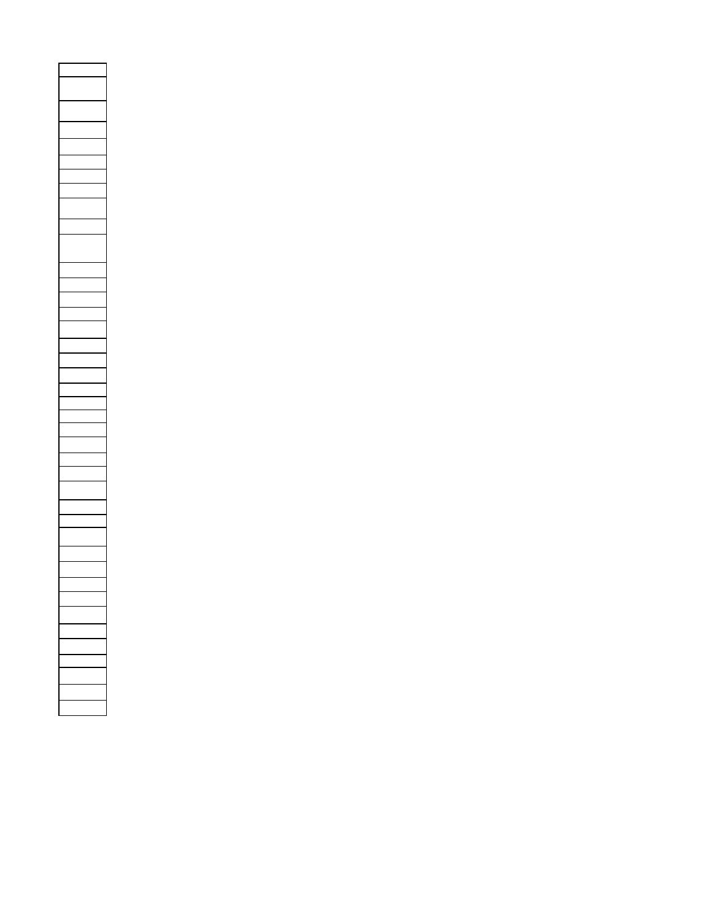